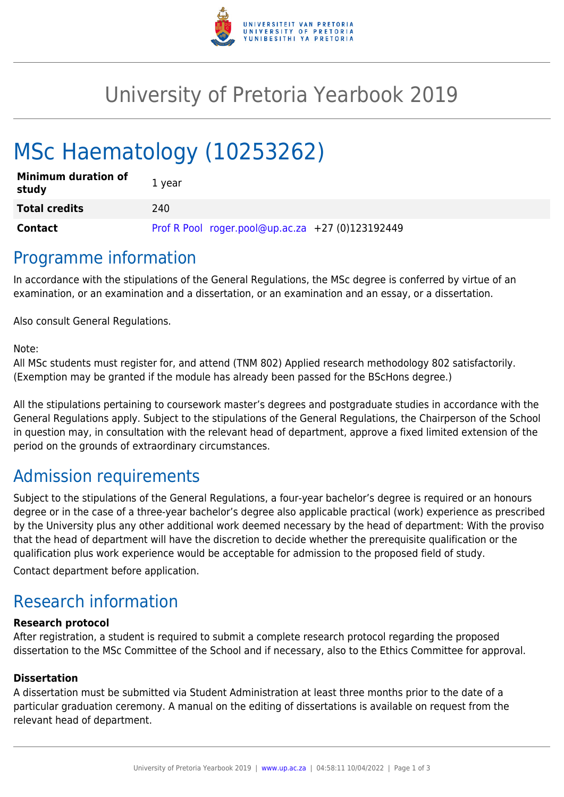

## University of Pretoria Yearbook 2019

# MSc Haematology (10253262)

| <b>Minimum duration of</b><br>study | 1 year                                           |
|-------------------------------------|--------------------------------------------------|
| <b>Total credits</b>                | 240                                              |
| Contact                             | Prof R Pool roger.pool@up.ac.za +27 (0)123192449 |

### Programme information

In accordance with the stipulations of the General Regulations, the MSc degree is conferred by virtue of an examination, or an examination and a dissertation, or an examination and an essay, or a dissertation.

Also consult General Regulations.

Note:

All MSc students must register for, and attend (TNM 802) Applied research methodology 802 satisfactorily. (Exemption may be granted if the module has already been passed for the BScHons degree.)

All the stipulations pertaining to coursework master's degrees and postgraduate studies in accordance with the General Regulations apply. Subject to the stipulations of the General Regulations, the Chairperson of the School in question may, in consultation with the relevant head of department, approve a fixed limited extension of the period on the grounds of extraordinary circumstances.

### Admission requirements

Subject to the stipulations of the General Regulations, a four-year bachelor's degree is required or an honours degree or in the case of a three-year bachelor's degree also applicable practical (work) experience as prescribed by the University plus any other additional work deemed necessary by the head of department: With the proviso that the head of department will have the discretion to decide whether the prerequisite qualification or the qualification plus work experience would be acceptable for admission to the proposed field of study.

Contact department before application.

### Research information

#### **Research protocol**

After registration, a student is required to submit a complete research protocol regarding the proposed dissertation to the MSc Committee of the School and if necessary, also to the Ethics Committee for approval.

#### **Dissertation**

A dissertation must be submitted via Student Administration at least three months prior to the date of a particular graduation ceremony. A manual on the editing of dissertations is available on request from the relevant head of department.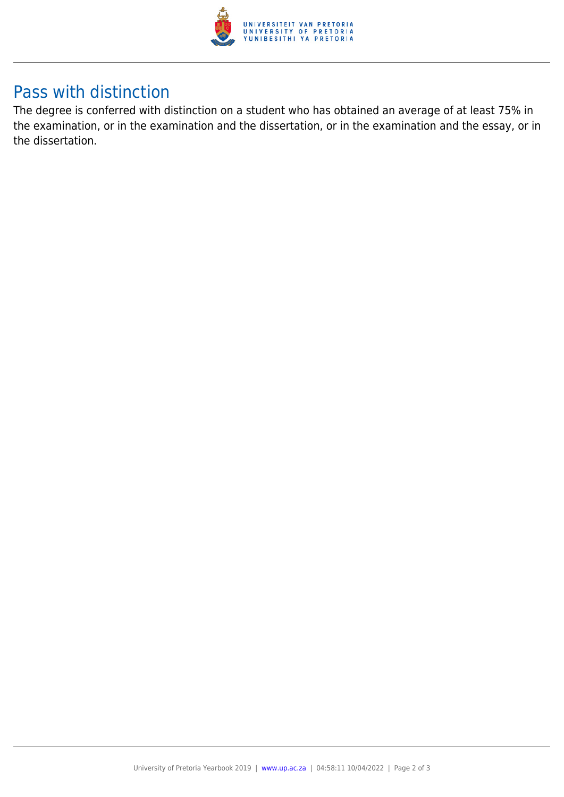

### Pass with distinction

The degree is conferred with distinction on a student who has obtained an average of at least 75% in the examination, or in the examination and the dissertation, or in the examination and the essay, or in the dissertation.